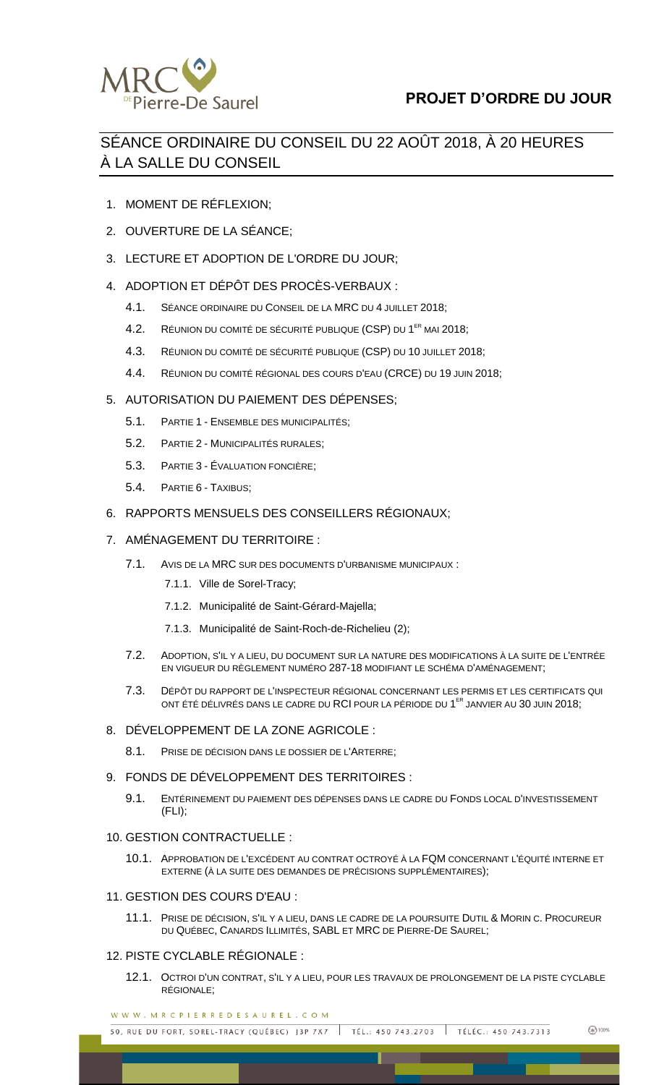

# SÉANCE ORDINAIRE DU CONSEIL DU 22 AOÛT 2018, À 20 HEURES À LA SALLE DU CONSEIL

- 1. MOMENT DE RÉFLEXION;
- 2. OUVERTURE DE LA SÉANCE;
- 3. LECTURE ET ADOPTION DE L'ORDRE DU JOUR;
- 4. ADOPTION ET DÉPÔT DES PROCÈS-VERBAUX :
	- 4.1. SÉANCE ORDINAIRE DU CONSEIL DE LA MRC DU 4 JUILLET 2018;
	- 4.2. RÉUNION DU COMITÉ DE SÉCURITÉ PUBLIQUE (CSP) DU 1<sup>er</sup> MAI 2018;
	- 4.3. RÉUNION DU COMITÉ DE SÉCURITÉ PUBLIQUE (CSP) DU 10 JUILLET 2018;
	- 4.4. RÉUNION DU COMITÉ RÉGIONAL DES COURS D'EAU (CRCE) DU 19 JUIN 2018;

# 5. AUTORISATION DU PAIEMENT DES DÉPENSES;

- 5.1. PARTIE 1 ENSEMBLE DES MUNICIPALITÉS;
- 5.2. PARTIE 2 MUNICIPALITÉS RURALES;
- 5.3. PARTIE 3 ÉVALUATION FONCIÈRE;
- 5.4. PARTIE 6 TAXIBUS;
- 6. RAPPORTS MENSUELS DES CONSEILLERS RÉGIONAUX;

# 7. AMÉNAGEMENT DU TERRITOIRE :

- 7.1. AVIS DE LA MRC SUR DES DOCUMENTS D'URBANISME MUNICIPAUX :
	- 7.1.1. Ville de Sorel-Tracy;
	- 7.1.2. Municipalité de Saint-Gérard-Majella;
	- 7.1.3. Municipalité de Saint-Roch-de-Richelieu (2);
- 7.2. ADOPTION, S'IL Y A LIEU, DU DOCUMENT SUR LA NATURE DES MODIFICATIONS À LA SUITE DE L'ENTRÉE EN VIGUEUR DU RÈGLEMENT NUMÉRO 287-18 MODIFIANT LE SCHÉMA D'AMÉNAGEMENT;
- 7.3. DÉPÔT DU RAPPORT DE L'INSPECTEUR RÉGIONAL CONCERNANT LES PERMIS ET LES CERTIFICATS QUI ONT ÉTÉ DÉLIVRÉS DANS LE CADRE DU **RCI** POUR LA PÉRIODE DU 1<sup>ER</sup> JANVIER AU 30 JUIN 2018;

### 8. DÉVELOPPEMENT DE LA ZONE AGRICOLE :

8.1. PRISE DE DÉCISION DANS LE DOSSIER DE L'ARTERRE;

### 9. FONDS DE DÉVELOPPEMENT DES TERRITOIRES :

9.1. ENTÉRINEMENT DU PAIEMENT DES DÉPENSES DANS LE CADRE DU FONDS LOCAL D'INVESTISSEMENT (FLI);

### 10. GESTION CONTRACTUELLE :

10.1. APPROBATION DE L'EXCÉDENT AU CONTRAT OCTROYÉ À LA FQM CONCERNANT L'ÉQUITÉ INTERNE ET EXTERNE (À LA SUITE DES DEMANDES DE PRÉCISIONS SUPPLÉMENTAIRES);

### 11. GESTION DES COURS D'EAU :

11.1. PRISE DE DÉCISION, S'IL Y A LIEU, DANS LE CADRE DE LA POURSUITE DUTIL & MORIN C. PROCUREUR DU QUÉBEC, CANARDS ILLIMITÉS, SABL ET MRC DE PIERRE-DE SAUREL;

## 12. PISTE CYCLABLE RÉGIONALE :

12.1. OCTROI D'UN CONTRAT, S'IL Y A LIEU, POUR LES TRAVAUX DE PROLONGEMENT DE LA PISTE CYCLABLE RÉGIONALE;

WWW.MRCPIERREDESAUREL.COM